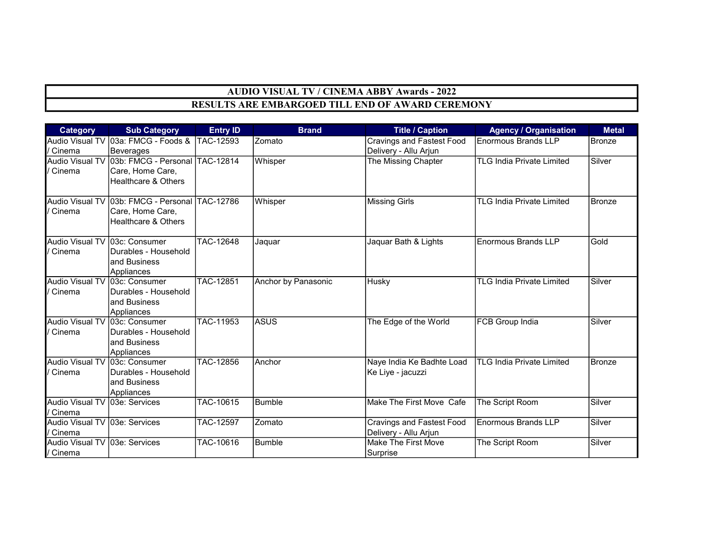## AUDIO VISUAL TV / CINEMA ABBY Awards - 2022 RESULTS ARE EMBARGOED TILL END OF AWARD CEREMONY

| <b>Category</b>                             | <b>Sub Category</b>                                                                                  | <b>Entry ID</b>  | <b>Brand</b>        | <b>Title / Caption</b>                                    | <b>Agency / Organisation</b>     | <b>Metal</b>  |
|---------------------------------------------|------------------------------------------------------------------------------------------------------|------------------|---------------------|-----------------------------------------------------------|----------------------------------|---------------|
| / Cinema                                    | Audio Visual TV 03a: FMCG - Foods & TAC-12593<br>Beverages                                           |                  | Zomato              | <b>Cravings and Fastest Food</b><br>Delivery - Allu Arjun | <b>Enormous Brands LLP</b>       | Bronze        |
| / Cinema                                    | Audio Visual TV 03b: FMCG - Personal TAC-12814<br>Care, Home Care,<br><b>Healthcare &amp; Others</b> |                  | Whisper             | The Missing Chapter                                       | <b>TLG India Private Limited</b> | Silver        |
| / Cinema                                    | Audio Visual TV 03b: FMCG - Personal TAC-12786<br> Care, Home Care,<br>Healthcare & Others           |                  | Whisper             | <b>Missing Girls</b>                                      | <b>TLG India Private Limited</b> | <b>Bronze</b> |
| Audio Visual TV 03c: Consumer<br>/ Cinema   | Durables - Household<br>and Business<br>Appliances                                                   | TAC-12648        | Jaquar              | Jaquar Bath & Lights                                      | <b>Enormous Brands LLP</b>       | Gold          |
| Audio Visual TV 03c: Consumer<br>/ Cinema   | Durables - Household<br>and Business<br>Appliances                                                   | <b>TAC-12851</b> | Anchor by Panasonic | Husky                                                     | <b>TLG India Private Limited</b> | Silver        |
| Audio Visual TV 03c: Consumer<br>/ Cinema   | Durables - Household<br>and Business<br>Appliances                                                   | TAC-11953        | <b>ASUS</b>         | The Edge of the World                                     | FCB Group India                  | Silver        |
| Audio Visual TV 03c: Consumer<br>/ Cinema   | Durables - Household<br>and Business<br>Appliances                                                   | TAC-12856        | Anchor              | Naye India Ke Badhte Load<br>Ke Liye - jacuzzi            | <b>TLG India Private Limited</b> | Bronze        |
| Audio Visual TV   03e: Services<br>/ Cinema |                                                                                                      | TAC-10615        | Bumble              | Make The First Move Cafe                                  | The Script Room                  | Silver        |
| Audio Visual TV 03e: Services<br>/ Cinema   |                                                                                                      | TAC-12597        | Zomato              | <b>Cravings and Fastest Food</b><br>Delivery - Allu Arjun | <b>Enormous Brands LLP</b>       | Silver        |
| Audio Visual TV 03e: Services<br>/ Cinema   |                                                                                                      | TAC-10616        | <b>Bumble</b>       | Make The First Move<br>Surprise                           | The Script Room                  | Silver        |